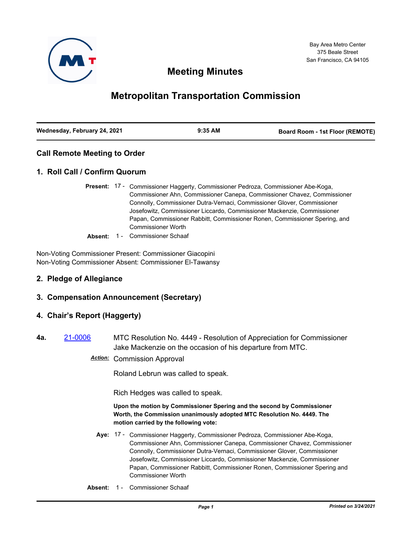

# **Meeting Minutes**

# **Metropolitan Transportation Commission**

| Wednesday, February 24, 2021 | $9:35$ AM | <b>Board Room - 1st Floor (REMOTE)</b> |
|------------------------------|-----------|----------------------------------------|
|                              |           |                                        |

## **Call Remote Meeting to Order**

## **1. Roll Call / Confirm Quorum**

- Present: 17 Commissioner Haggerty, Commissioner Pedroza, Commissioner Abe-Koga, Commissioner Ahn, Commissioner Canepa, Commissioner Chavez, Commissioner Connolly, Commissioner Dutra-Vernaci, Commissioner Glover, Commissioner Josefowitz, Commissioner Liccardo, Commissioner Mackenzie, Commissioner Papan, Commissioner Rabbitt, Commissioner Ronen, Commissioner Spering, and Commissioner Worth
- **Absent:** 1 Commissioner Schaaf

Non-Voting Commissioner Present: Commissioner Giacopini Non-Voting Commissioner Absent: Commissioner El-Tawansy

## **2. Pledge of Allegiance**

## **3. Compensation Announcement (Secretary)**

## **4. Chair's Report (Haggerty)**

**4a.** [21-0006](http://mtc.legistar.com/gateway.aspx?m=l&id=/matter.aspx?key=21599) MTC Resolution No. 4449 - Resolution of Appreciation for Commissioner Jake Mackenzie on the occasion of his departure from MTC.

*Action:* Commission Approval

Roland Lebrun was called to speak.

Rich Hedges was called to speak.

#### **Upon the motion by Commissioner Spering and the second by Commissioner Worth, the Commission unanimously adopted MTC Resolution No. 4449. The motion carried by the following vote:**

- Aye: 17 Commissioner Haggerty, Commissioner Pedroza, Commissioner Abe-Koga, Commissioner Ahn, Commissioner Canepa, Commissioner Chavez, Commissioner Connolly, Commissioner Dutra-Vernaci, Commissioner Glover, Commissioner Josefowitz, Commissioner Liccardo, Commissioner Mackenzie, Commissioner Papan, Commissioner Rabbitt, Commissioner Ronen, Commissioner Spering and Commissioner Worth
- **Absent:** 1 Commissioner Schaaf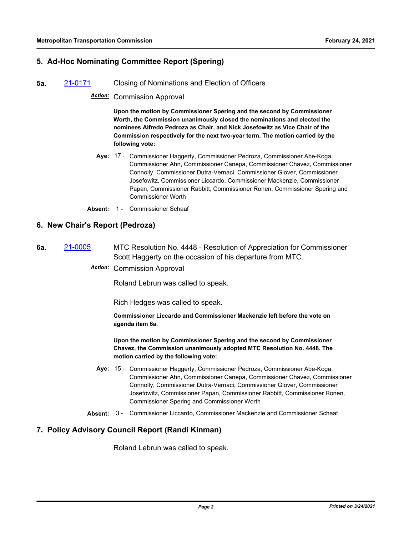## **5. Ad-Hoc Nominating Committee Report (Spering)**

**5a.** [21-0171](http://mtc.legistar.com/gateway.aspx?m=l&id=/matter.aspx?key=21764) Closing of Nominations and Election of Officers

*Action:* Commission Approval

**Upon the motion by Commissioner Spering and the second by Commissioner Worth, the Commission unanimously closed the nominations and elected the nominees Alfredo Pedroza as Chair, and Nick Josefowitz as Vice Chair of the Commission respectively for the next two-year term. The motion carried by the following vote:**

- Aye: 17 Commissioner Haggerty, Commissioner Pedroza, Commissioner Abe-Koga, Commissioner Ahn, Commissioner Canepa, Commissioner Chavez, Commissioner Connolly, Commissioner Dutra-Vernaci, Commissioner Glover, Commissioner Josefowitz, Commissioner Liccardo, Commissioner Mackenzie, Commissioner Papan, Commissioner Rabbitt, Commissioner Ronen, Commissioner Spering and Commissioner Worth
- **Absent:** 1 Commissioner Schaaf

#### **6. New Chair's Report (Pedroza)**

## **6a.** [21-0005](http://mtc.legistar.com/gateway.aspx?m=l&id=/matter.aspx?key=21598) MTC Resolution No. 4448 - Resolution of Appreciation for Commissioner Scott Haggerty on the occasion of his departure from MTC.

*Action:* Commission Approval

Roland Lebrun was called to speak.

Rich Hedges was called to speak.

**Commissioner Liccardo and Commissioner Mackenzie left before the vote on agenda item 6a.**

**Upon the motion by Commissioner Spering and the second by Commissioner Chavez, the Commission unanimously adopted MTC Resolution No. 4448. The motion carried by the following vote:**

- Aye: 15 Commissioner Haggerty, Commissioner Pedroza, Commissioner Abe-Koga, Commissioner Ahn, Commissioner Canepa, Commissioner Chavez, Commissioner Connolly, Commissioner Dutra-Vernaci, Commissioner Glover, Commissioner Josefowitz, Commissioner Papan, Commissioner Rabbitt, Commissioner Ronen, Commissioner Spering and Commissioner Worth
- **Absent:** 3 Commissioner Liccardo, Commissioner Mackenzie and Commissioner Schaaf

## **7. Policy Advisory Council Report (Randi Kinman)**

Roland Lebrun was called to speak.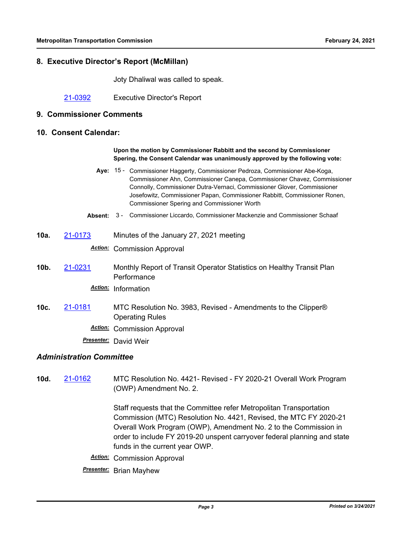## **8. Executive Director's Report (McMillan)**

Joty Dhaliwal was called to speak.

[21-0392](http://mtc.legistar.com/gateway.aspx?m=l&id=/matter.aspx?key=21985) Executive Director's Report

#### **9. Commissioner Comments**

#### **10. Consent Calendar:**

#### **Upon the motion by Commissioner Rabbitt and the second by Commissioner Spering, the Consent Calendar was unanimously approved by the following vote:**

- Aye: 15 Commissioner Haggerty, Commissioner Pedroza, Commissioner Abe-Koga, Commissioner Ahn, Commissioner Canepa, Commissioner Chavez, Commissioner Connolly, Commissioner Dutra-Vernaci, Commissioner Glover, Commissioner Josefowitz, Commissioner Papan, Commissioner Rabbitt, Commissioner Ronen, Commissioner Spering and Commissioner Worth
- **Absent:** 3 Commissioner Liccardo, Commissioner Mackenzie and Commissioner Schaaf
- **10a.** [21-0173](http://mtc.legistar.com/gateway.aspx?m=l&id=/matter.aspx?key=21766) Minutes of the January 27, 2021 meeting

*Action:* Commission Approval

**10b.** [21-0231](http://mtc.legistar.com/gateway.aspx?m=l&id=/matter.aspx?key=21824) Monthly Report of Transit Operator Statistics on Healthy Transit Plan **Performance** 

*Action:* Information

**10c.** [21-0181](http://mtc.legistar.com/gateway.aspx?m=l&id=/matter.aspx?key=21774) MTC Resolution No. 3983, Revised - Amendments to the Clipper® Operating Rules

*Action:* Commission Approval

*Presenter:* David Weir

## *Administration Committee*

**10d.** [21-0162](http://mtc.legistar.com/gateway.aspx?m=l&id=/matter.aspx?key=21755) MTC Resolution No. 4421- Revised - FY 2020-21 Overall Work Program (OWP) Amendment No. 2.

> Staff requests that the Committee refer Metropolitan Transportation Commission (MTC) Resolution No. 4421, Revised, the MTC FY 2020-21 Overall Work Program (OWP), Amendment No. 2 to the Commission in order to include FY 2019-20 unspent carryover federal planning and state funds in the current year OWP.

*Action:* Commission Approval

*Presenter:* Brian Mayhew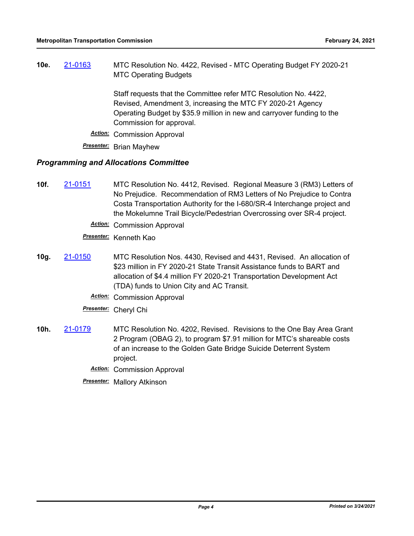**10e.** [21-0163](http://mtc.legistar.com/gateway.aspx?m=l&id=/matter.aspx?key=21756) MTC Resolution No. 4422, Revised - MTC Operating Budget FY 2020-21 MTC Operating Budgets

> Staff requests that the Committee refer MTC Resolution No. 4422, Revised, Amendment 3, increasing the MTC FY 2020-21 Agency Operating Budget by \$35.9 million in new and carryover funding to the Commission for approval.

*Action:* Commission Approval

*Presenter:* Brian Mayhew

#### *Programming and Allocations Committee*

- **10f.** [21-0151](http://mtc.legistar.com/gateway.aspx?m=l&id=/matter.aspx?key=21744) MTC Resolution No. 4412, Revised. Regional Measure 3 (RM3) Letters of No Prejudice. Recommendation of RM3 Letters of No Prejudice to Contra Costa Transportation Authority for the I-680/SR-4 Interchange project and the Mokelumne Trail Bicycle/Pedestrian Overcrossing over SR-4 project.
	- *Action:* Commission Approval

*Presenter:* Kenneth Kao

- **10g.** [21-0150](http://mtc.legistar.com/gateway.aspx?m=l&id=/matter.aspx?key=21743) MTC Resolution Nos. 4430, Revised and 4431, Revised. An allocation of \$23 million in FY 2020-21 State Transit Assistance funds to BART and allocation of \$4.4 million FY 2020-21 Transportation Development Act (TDA) funds to Union City and AC Transit.
	- *Action:* Commission Approval
	- *Presenter:* Cheryl Chi
- **10h.** [21-0179](http://mtc.legistar.com/gateway.aspx?m=l&id=/matter.aspx?key=21772) MTC Resolution No. 4202, Revised. Revisions to the One Bay Area Grant 2 Program (OBAG 2), to program \$7.91 million for MTC's shareable costs of an increase to the Golden Gate Bridge Suicide Deterrent System project.
	- *Action:* Commission Approval
	- *Presenter:* Mallory Atkinson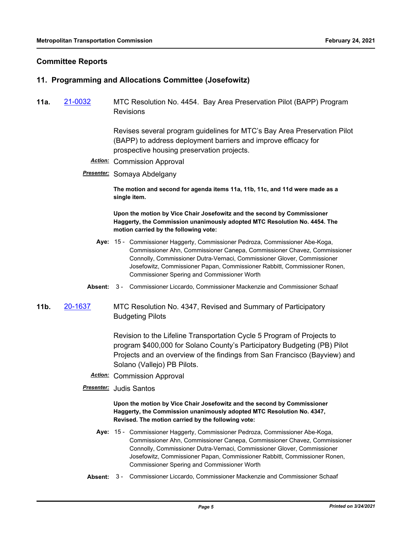### **Committee Reports**

#### **11. Programming and Allocations Committee (Josefowitz)**

**11a.** [21-0032](http://mtc.legistar.com/gateway.aspx?m=l&id=/matter.aspx?key=21625) MTC Resolution No. 4454. Bay Area Preservation Pilot (BAPP) Program Revisions

> Revises several program guidelines for MTC's Bay Area Preservation Pilot (BAPP) to address deployment barriers and improve efficacy for prospective housing preservation projects.

- *Action:* Commission Approval
- *Presenter:* Somaya Abdelgany

**The motion and second for agenda items 11a, 11b, 11c, and 11d were made as a single item.**

**Upon the motion by Vice Chair Josefowitz and the second by Commissioner Haggerty, the Commission unanimously adopted MTC Resolution No. 4454. The motion carried by the following vote:**

- Aye: 15 Commissioner Haggerty, Commissioner Pedroza, Commissioner Abe-Koga, Commissioner Ahn, Commissioner Canepa, Commissioner Chavez, Commissioner Connolly, Commissioner Dutra-Vernaci, Commissioner Glover, Commissioner Josefowitz, Commissioner Papan, Commissioner Rabbitt, Commissioner Ronen, Commissioner Spering and Commissioner Worth
- **Absent:** 3 Commissioner Liccardo, Commissioner Mackenzie and Commissioner Schaaf
- **11b.** [20-1637](http://mtc.legistar.com/gateway.aspx?m=l&id=/matter.aspx?key=21502) MTC Resolution No. 4347, Revised and Summary of Participatory Budgeting Pilots

Revision to the Lifeline Transportation Cycle 5 Program of Projects to program \$400,000 for Solano County's Participatory Budgeting (PB) Pilot Projects and an overview of the findings from San Francisco (Bayview) and Solano (Vallejo) PB Pilots.

- *Action:* Commission Approval
- *Presenter:* Judis Santos

#### **Upon the motion by Vice Chair Josefowitz and the second by Commissioner Haggerty, the Commission unanimously adopted MTC Resolution No. 4347, Revised. The motion carried by the following vote:**

- Aye: 15 Commissioner Haggerty, Commissioner Pedroza, Commissioner Abe-Koga, Commissioner Ahn, Commissioner Canepa, Commissioner Chavez, Commissioner Connolly, Commissioner Dutra-Vernaci, Commissioner Glover, Commissioner Josefowitz, Commissioner Papan, Commissioner Rabbitt, Commissioner Ronen, Commissioner Spering and Commissioner Worth
- **Absent:** 3 Commissioner Liccardo, Commissioner Mackenzie and Commissioner Schaaf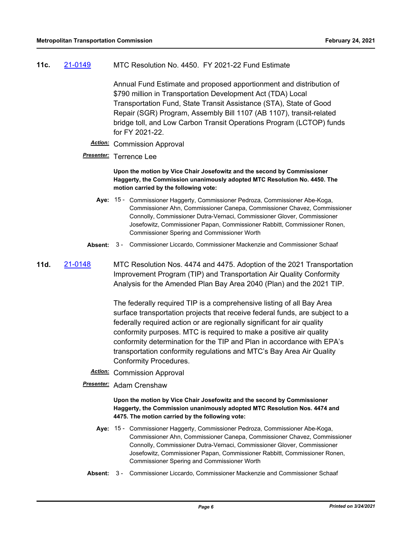#### **11c.** [21-0149](http://mtc.legistar.com/gateway.aspx?m=l&id=/matter.aspx?key=21742) MTC Resolution No. 4450. FY 2021-22 Fund Estimate

Annual Fund Estimate and proposed apportionment and distribution of \$790 million in Transportation Development Act (TDA) Local Transportation Fund, State Transit Assistance (STA), State of Good Repair (SGR) Program, Assembly Bill 1107 (AB 1107), transit-related bridge toll, and Low Carbon Transit Operations Program (LCTOP) funds for FY 2021-22.

### *Action:* Commission Approval

## *Presenter:* Terrence Lee

**Upon the motion by Vice Chair Josefowitz and the second by Commissioner Haggerty, the Commission unanimously adopted MTC Resolution No. 4450. The motion carried by the following vote:**

- Aye: 15 Commissioner Haggerty, Commissioner Pedroza, Commissioner Abe-Koga, Commissioner Ahn, Commissioner Canepa, Commissioner Chavez, Commissioner Connolly, Commissioner Dutra-Vernaci, Commissioner Glover, Commissioner Josefowitz, Commissioner Papan, Commissioner Rabbitt, Commissioner Ronen, Commissioner Spering and Commissioner Worth
- **Absent:** 3 Commissioner Liccardo, Commissioner Mackenzie and Commissioner Schaaf
- **11d.** [21-0148](http://mtc.legistar.com/gateway.aspx?m=l&id=/matter.aspx?key=21741) MTC Resolution Nos. 4474 and 4475. Adoption of the 2021 Transportation Improvement Program (TIP) and Transportation Air Quality Conformity Analysis for the Amended Plan Bay Area 2040 (Plan) and the 2021 TIP.

The federally required TIP is a comprehensive listing of all Bay Area surface transportation projects that receive federal funds, are subject to a federally required action or are regionally significant for air quality conformity purposes. MTC is required to make a positive air quality conformity determination for the TIP and Plan in accordance with EPA's transportation conformity regulations and MTC's Bay Area Air Quality Conformity Procedures.

- *Action:* Commission Approval
- *Presenter:* Adam Crenshaw

**Upon the motion by Vice Chair Josefowitz and the second by Commissioner Haggerty, the Commission unanimously adopted MTC Resolution Nos. 4474 and 4475. The motion carried by the following vote:**

- Aye: 15 Commissioner Haggerty, Commissioner Pedroza, Commissioner Abe-Koga, Commissioner Ahn, Commissioner Canepa, Commissioner Chavez, Commissioner Connolly, Commissioner Dutra-Vernaci, Commissioner Glover, Commissioner Josefowitz, Commissioner Papan, Commissioner Rabbitt, Commissioner Ronen, Commissioner Spering and Commissioner Worth
- **Absent:** 3 Commissioner Liccardo, Commissioner Mackenzie and Commissioner Schaaf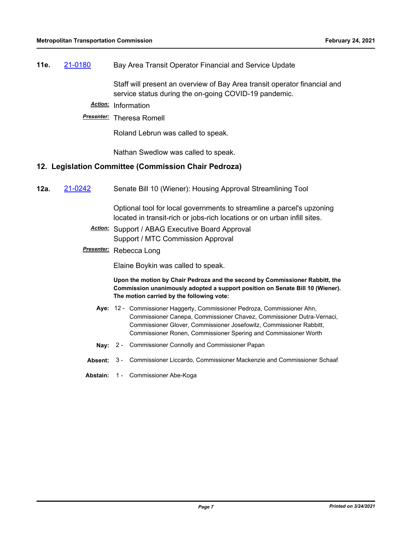## **11e.** [21-0180](http://mtc.legistar.com/gateway.aspx?m=l&id=/matter.aspx?key=21773) Bay Area Transit Operator Financial and Service Update

Staff will present an overview of Bay Area transit operator financial and service status during the on-going COVID-19 pandemic.

*Action:* Information

#### *Presenter:* Theresa Romell

Roland Lebrun was called to speak.

Nathan Swedlow was called to speak.

#### **12. Legislation Committee (Commission Chair Pedroza)**

**12a.** [21-0242](http://mtc.legistar.com/gateway.aspx?m=l&id=/matter.aspx?key=21835) Senate Bill 10 (Wiener): Housing Approval Streamlining Tool

Optional tool for local governments to streamline a parcel's upzoning located in transit-rich or jobs-rich locations or on urban infill sites.

- *Action:* Support / ABAG Executive Board Approval Support / MTC Commission Approval
- *Presenter:* Rebecca Long

Elaine Boykin was called to speak.

**Upon the motion by Chair Pedroza and the second by Commissioner Rabbitt, the Commission unanimously adopted a support position on Senate Bill 10 (Wiener). The motion carried by the following vote:**

- Aye: 12 Commissioner Haggerty, Commissioner Pedroza, Commissioner Ahn, Commissioner Canepa, Commissioner Chavez, Commissioner Dutra-Vernaci, Commissioner Glover, Commissioner Josefowitz, Commissioner Rabbitt, Commissioner Ronen, Commissioner Spering and Commissioner Worth
- **Nay:** 2 Commissioner Connolly and Commissioner Papan
- **Absent:** 3 Commissioner Liccardo, Commissioner Mackenzie and Commissioner Schaaf
- **Abstain:** 1 Commissioner Abe-Koga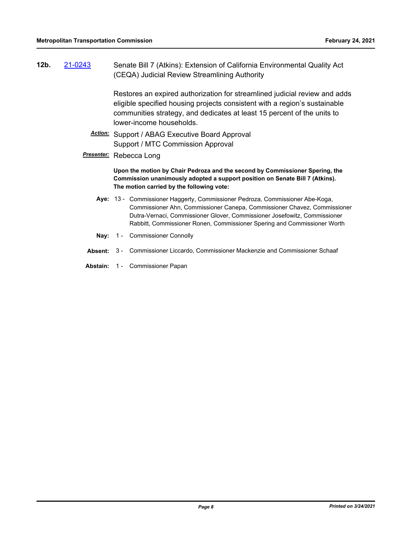| 21-0243<br>12b. |  | Senate Bill 7 (Atkins): Extension of California Environmental Quality Act<br>(CEQA) Judicial Review Streamlining Authority                                                                                                                                                                                         |  |  |
|-----------------|--|--------------------------------------------------------------------------------------------------------------------------------------------------------------------------------------------------------------------------------------------------------------------------------------------------------------------|--|--|
|                 |  | Restores an expired authorization for streamlined judicial review and adds<br>eligible specified housing projects consistent with a region's sustainable<br>communities strategy, and dedicates at least 15 percent of the units to<br>lower-income households.                                                    |  |  |
|                 |  | Action: Support / ABAG Executive Board Approval<br>Support / MTC Commission Approval                                                                                                                                                                                                                               |  |  |
|                 |  | <b>Presenter:</b> Rebecca Long<br>Upon the motion by Chair Pedroza and the second by Commissioner Spering, the<br>Commission unanimously adopted a support position on Senate Bill 7 (Atkins).<br>The motion carried by the following vote:                                                                        |  |  |
|                 |  |                                                                                                                                                                                                                                                                                                                    |  |  |
|                 |  | Aye: 13 - Commissioner Haggerty, Commissioner Pedroza, Commissioner Abe-Koga,<br>Commissioner Ahn, Commissioner Canepa, Commissioner Chavez, Commissioner<br>Dutra-Vernaci, Commissioner Glover, Commissioner Josefowitz, Commissioner<br>Rabbitt, Commissioner Ronen, Commissioner Spering and Commissioner Worth |  |  |

- **Nay:** 1 Commissioner Connolly
- **Absent:** 3 Commissioner Liccardo, Commissioner Mackenzie and Commissioner Schaaf
- **Abstain:** 1 Commissioner Papan